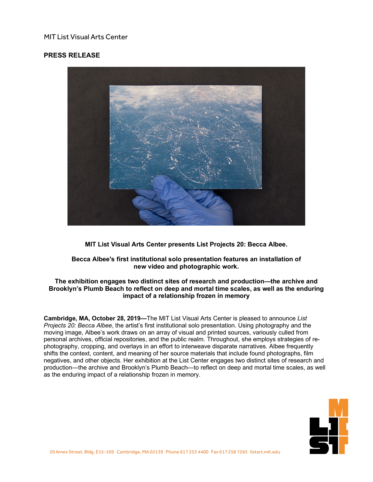## MIT List Visual Arts Center

## **PRESS RELEASE**



**MIT List Visual Arts Center presents List Projects 20: Becca Albee.**

## **Becca Albee's first institutional solo presentation features an installation of new video and photographic work.**

## **The exhibition engages two distinct sites of research and production—the archive and Brooklyn's Plumb Beach to reflect on deep and mortal time scales, as well as the enduring impact of a relationship frozen in memory**

**Cambridge, MA, October 28, 2019—**The MIT List Visual Arts Center is pleased to announce *List Projects 20: Becca Albee*, the artist's first institutional solo presentation. Using photography and the moving image, Albee's work draws on an array of visual and printed sources, variously culled from personal archives, official repositories, and the public realm. Throughout, she employs strategies of rephotography, cropping, and overlays in an effort to interweave disparate narratives. Albee frequently shifts the context, content, and meaning of her source materials that include found photographs, film negatives, and other objects. Her exhibition at the List Center engages two distinct sites of research and production—the archive and Brooklyn's Plumb Beach—to reflect on deep and mortal time scales, as well as the enduring impact of a relationship frozen in memory.

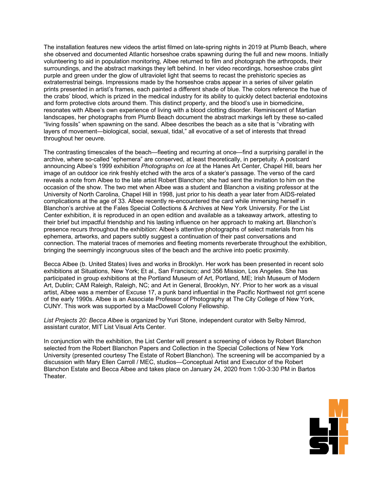The installation features new videos the artist filmed on late-spring nights in 2019 at Plumb Beach, where she observed and documented Atlantic horseshoe crabs spawning during the full and new moons. Initially volunteering to aid in population monitoring, Albee returned to film and photograph the arthropods, their surroundings, and the abstract markings they left behind. In her video recordings, horseshoe crabs glint purple and green under the glow of ultraviolet light that seems to recast the prehistoric species as extraterrestrial beings. Impressions made by the horseshoe crabs appear in a series of silver gelatin prints presented in artist's frames, each painted a different shade of blue. The colors reference the hue of the crabs' blood, which is prized in the medical industry for its ability to quickly detect bacterial endotoxins and form protective clots around them. This distinct property, and the blood's use in biomedicine, resonates with Albee's own experience of living with a blood clotting disorder. Reminiscent of Martian landscapes, her photographs from Plumb Beach document the abstract markings left by these so-called "living fossils" when spawning on the sand. Albee describes the beach as a site that is "vibrating with layers of movement—biological, social, sexual, tidal," all evocative of a set of interests that thread throughout her oeuvre.

The contrasting timescales of the beach—fleeting and recurring at once—find a surprising parallel in the archive, where so-called "ephemera" are conserved, at least theoretically, in perpetuity. A postcard announcing Albee's 1999 exhibition *Photographs on Ice* at the Hanes Art Center, Chapel Hill, bears her image of an outdoor ice rink freshly etched with the arcs of a skater's passage. The verso of the card reveals a note from Albee to the late artist Robert Blanchon; she had sent the invitation to him on the occasion of the show. The two met when Albee was a student and Blanchon a visiting professor at the University of North Carolina, Chapel Hill in 1998, just prior to his death a year later from AIDS-related complications at the age of 33. Albee recently re-encountered the card while immersing herself in Blanchon's archive at the Fales Special Collections & Archives at New York University. For the List Center exhibition, it is reproduced in an open edition and available as a takeaway artwork, attesting to their brief but impactful friendship and his lasting influence on her approach to making art. Blanchon's presence recurs throughout the exhibition: Albee's attentive photographs of select materials from his ephemera, artworks, and papers subtly suggest a continuation of their past conversations and connection. The material traces of memories and fleeting moments reverberate throughout the exhibition, bringing the seemingly incongruous sites of the beach and the archive into poetic proximity.

Becca Albee (b. United States) lives and works in Brooklyn. Her work has been presented in recent solo exhibitions at Situations, New York; Et al., San Francisco; and 356 Mission, Los Angeles. She has participated in group exhibitions at the Portland Museum of Art, Portland, ME; Irish Museum of Modern Art, Dublin; CAM Raleigh, Raleigh, NC; and Art in General, Brooklyn, NY. Prior to her work as a visual artist, Albee was a member of Excuse 17, a punk band influential in the Pacific Northwest riot grrrl scene of the early 1990s. Albee is an Associate Professor of Photography at The City College of New York, CUNY. This work was supported by a MacDowell Colony Fellowship.

*List Projects 20: Becca Albee* is organized by Yuri Stone, independent curator with Selby Nimrod, assistant curator, MIT List Visual Arts Center.

In conjunction with the exhibition, the List Center will present a screening of videos by Robert Blanchon selected from the Robert Blanchon Papers and Collection in the Special Collections of New York University (presented courtesy The Estate of Robert Blanchon). The screening will be accompanied by a discussion with Mary Ellen Carroll / MEC, studios—Conceptual Artist and Executor of the Robert Blanchon Estate and Becca Albee and takes place on January 24, 2020 from 1:00-3:30 PM in Bartos Theater.